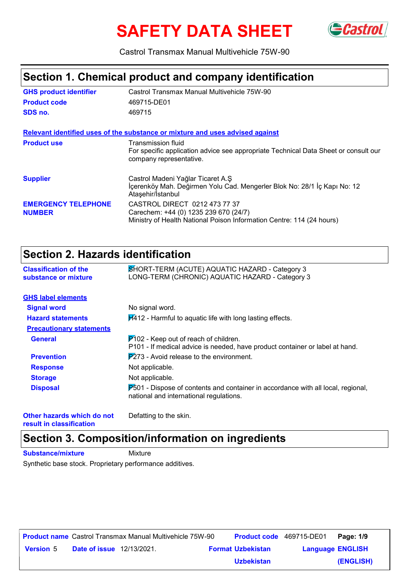# SAFETY DATA SHEET GCastrol



Castrol Transmax Manual Multivehicle 75W-90

# **Section 1. Chemical product and company identification**

| <b>GHS product identifier</b>               | Castrol Transmax Manual Multivehicle 75W-90                                                                                                     |
|---------------------------------------------|-------------------------------------------------------------------------------------------------------------------------------------------------|
| <b>Product code</b>                         | 469715-DE01                                                                                                                                     |
| SDS no.                                     | 469715                                                                                                                                          |
|                                             | Relevant identified uses of the substance or mixture and uses advised against                                                                   |
| <b>Product use</b>                          | Transmission fluid<br>For specific application advice see appropriate Technical Data Sheet or consult our<br>company representative.            |
| <b>Supplier</b>                             | Castrol Madeni Yağlar Ticaret A.Ş<br>İçerenköy Mah. Değirmen Yolu Cad. Mengerler Blok No: 28/1 İç Kapı No: 12<br>Ataşehir/İstanbul              |
| <b>EMERGENCY TELEPHONE</b><br><b>NUMBER</b> | CASTROL DIRECT 0212 473 77 37<br>Carechem: +44 (0) 1235 239 670 (24/7)<br>Ministry of Health National Poison Information Centre: 114 (24 hours) |

# **Section 2. Hazards identification**

| <b>Classification of the</b><br>substance or mixture | SHORT-TERM (ACUTE) AQUATIC HAZARD - Category 3<br>LONG-TERM (CHRONIC) AQUATIC HAZARD - Category 3                                 |
|------------------------------------------------------|-----------------------------------------------------------------------------------------------------------------------------------|
| <b>GHS label elements</b>                            |                                                                                                                                   |
| <b>Signal word</b>                                   | No signal word.                                                                                                                   |
| <b>Hazard statements</b>                             | $H412$ - Harmful to aquatic life with long lasting effects.                                                                       |
| <b>Precautionary statements</b>                      |                                                                                                                                   |
| <b>General</b>                                       | $P$ 102 - Keep out of reach of children.<br>P101 - If medical advice is needed, have product container or label at hand.          |
| <b>Prevention</b>                                    | $\overline{P273}$ - Avoid release to the environment.                                                                             |
| <b>Response</b>                                      | Not applicable.                                                                                                                   |
| <b>Storage</b>                                       | Not applicable.                                                                                                                   |
| <b>Disposal</b>                                      | $P_{0.01}$ - Dispose of contents and container in accordance with all local, regional,<br>national and international regulations. |
|                                                      |                                                                                                                                   |

**Other hazards which do not result in classification**

Defatting to the skin.

# **Section 3. Composition/information on ingredients**

**Substance/mixture** Mixture

Synthetic base stock. Proprietary performance additives.

|                  |                                  | <b>Product name</b> Castrol Transmax Manual Multivehicle 75W-90 | <b>Product code</b> 469715-DE01 |                         | Page: 1/9 |
|------------------|----------------------------------|-----------------------------------------------------------------|---------------------------------|-------------------------|-----------|
| <b>Version</b> 5 | <b>Date of issue</b> 12/13/2021. |                                                                 | <b>Format Uzbekistan</b>        | <b>Language ENGLISH</b> |           |
|                  |                                  |                                                                 | <b>Uzbekistan</b>               |                         | (ENGLISH) |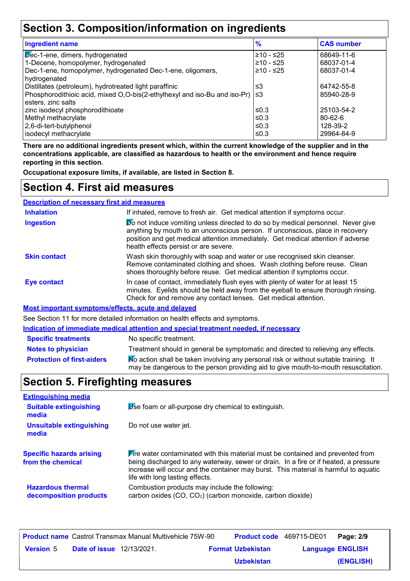# **Section 3. Composition/information on ingredients**

| <b>Ingredient name</b>                                                             | $\frac{9}{6}$ | <b>CAS number</b> |
|------------------------------------------------------------------------------------|---------------|-------------------|
| $\sqrt{p}$ ec-1-ene, dimers, hydrogenated                                          | ≥10 - ≤25     | 68649-11-6        |
| 1-Decene, homopolymer, hydrogenated                                                | $≥10 - ≤25$   | 68037-01-4        |
| Dec-1-ene, homopolymer, hydrogenated Dec-1-ene, oligomers,                         | $≥10 - ≤25$   | 68037-01-4        |
| hydrogenated                                                                       |               |                   |
| Distillates (petroleum), hydrotreated light paraffinic                             | ≤3            | 64742-55-8        |
| Phosphorodithioic acid, mixed O,O-bis(2-ethylhexyl and iso-Bu and iso-Pr) $\leq$ 3 |               | 85940-28-9        |
| esters, zinc salts                                                                 |               |                   |
| zinc isodecyl phosphorodithioate                                                   | ≤0.3          | 25103-54-2        |
| Methyl methacrylate                                                                | ≤0.3          | $80 - 62 - 6$     |
| 2,6-di-tert-butylphenol                                                            | ≤0.3          | 128-39-2          |
| isodecyl methacrylate                                                              | ≤0.3          | 29964-84-9        |

**There are no additional ingredients present which, within the current knowledge of the supplier and in the concentrations applicable, are classified as hazardous to health or the environment and hence require reporting in this section.**

**Occupational exposure limits, if available, are listed in Section 8.**

# **Section 4. First aid measures**

| <b>Description of necessary first aid measures</b> |                                                                                                                                                                                                                                                                                                |
|----------------------------------------------------|------------------------------------------------------------------------------------------------------------------------------------------------------------------------------------------------------------------------------------------------------------------------------------------------|
| <b>Inhalation</b>                                  | If inhaled, remove to fresh air. Get medical attention if symptoms occur.                                                                                                                                                                                                                      |
| <b>Ingestion</b>                                   | Do not induce vomiting unless directed to do so by medical personnel. Never give<br>anything by mouth to an unconscious person. If unconscious, place in recovery<br>position and get medical attention immediately. Get medical attention if adverse<br>health effects persist or are severe. |
| <b>Skin contact</b>                                | Wash skin thoroughly with soap and water or use recognised skin cleanser.<br>Remove contaminated clothing and shoes. Wash clothing before reuse. Clean<br>shoes thoroughly before reuse. Get medical attention if symptoms occur.                                                              |
| <b>Eye contact</b>                                 | In case of contact, immediately flush eyes with plenty of water for at least 15<br>minutes. Eyelids should be held away from the eyeball to ensure thorough rinsing.<br>Check for and remove any contact lenses. Get medical attention.                                                        |
|                                                    | Most important cumptamoloffects, squto and delayed                                                                                                                                                                                                                                             |

**Most important symptoms/effects, acute and delayed**

See Section 11 for more detailed information on health effects and symptoms.

**Indication of immediate medical attention and special treatment needed, if necessary**

| <b>Specific treatments</b>        | No specific treatment.                                                                                                                                                      |
|-----------------------------------|-----------------------------------------------------------------------------------------------------------------------------------------------------------------------------|
| <b>Notes to physician</b>         | Treatment should in general be symptomatic and directed to relieving any effects.                                                                                           |
| <b>Protection of first-aiders</b> | No action shall be taken involving any personal risk or without suitable training. It<br>may be dangerous to the person providing aid to give mouth-to-mouth resuscitation. |

# **Section 5. Firefighting measures**

| <b>Extinguishing media</b>                           |                                                                                                                                                                                                                                                                                                                         |
|------------------------------------------------------|-------------------------------------------------------------------------------------------------------------------------------------------------------------------------------------------------------------------------------------------------------------------------------------------------------------------------|
| <b>Suitable extinguishing</b><br>media               | Use foam or all-purpose dry chemical to extinguish.                                                                                                                                                                                                                                                                     |
| <b>Unsuitable extinguishing</b><br>media             | Do not use water jet.                                                                                                                                                                                                                                                                                                   |
| <b>Specific hazards arising</b><br>from the chemical | $\blacktriangleright$ fre water contaminated with this material must be contained and prevented from<br>being discharged to any waterway, sewer or drain. In a fire or if heated, a pressure<br>increase will occur and the container may burst. This material is harmful to aquatic<br>life with long lasting effects. |
| <b>Hazardous thermal</b><br>decomposition products   | Combustion products may include the following:<br>carbon oxides (CO, CO <sub>2</sub> ) (carbon monoxide, carbon dioxide)                                                                                                                                                                                                |

|                  |                                  | <b>Product name</b> Castrol Transmax Manual Multivehicle 75W-90 | <b>Product code</b> 469715-DE01 |                         | Page: 2/9 |
|------------------|----------------------------------|-----------------------------------------------------------------|---------------------------------|-------------------------|-----------|
| <b>Version 5</b> | <b>Date of issue</b> 12/13/2021. |                                                                 | <b>Format Uzbekistan</b>        | <b>Language ENGLISH</b> |           |
|                  |                                  |                                                                 | <b>Uzbekistan</b>               |                         | (ENGLISH) |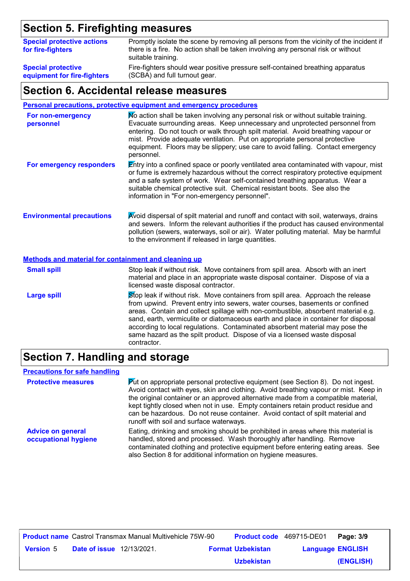# **Section 5. Firefighting measures**

| <b>Special protective actions</b><br>for fire-fighters | Promptly isolate the scene by removing all persons from the vicinity of the incident if<br>there is a fire. No action shall be taken involving any personal risk or without<br>suitable training. |
|--------------------------------------------------------|---------------------------------------------------------------------------------------------------------------------------------------------------------------------------------------------------|
| <b>Special protective</b>                              | Fire-fighters should wear positive pressure self-contained breathing apparatus                                                                                                                    |
| equipment for fire-fighters                            | (SCBA) and full turnout gear.                                                                                                                                                                     |

### **Section 6. Accidental release measures**

|  |  |  |                                                                                                                 | Personal precautions, protective equipment and emergency procedures |  |
|--|--|--|-----------------------------------------------------------------------------------------------------------------|---------------------------------------------------------------------|--|
|  |  |  | the contract of the contract of the contract of the contract of the contract of the contract of the contract of |                                                                     |  |

| For non-emergency<br>personnel                              | No action shall be taken involving any personal risk or without suitable training.<br>Evacuate surrounding areas. Keep unnecessary and unprotected personnel from<br>entering. Do not touch or walk through spilt material. Avoid breathing vapour or<br>mist. Provide adequate ventilation. Put on appropriate personal protective<br>equipment. Floors may be slippery; use care to avoid falling. Contact emergency<br>personnel.                                                                                     |  |  |  |  |
|-------------------------------------------------------------|--------------------------------------------------------------------------------------------------------------------------------------------------------------------------------------------------------------------------------------------------------------------------------------------------------------------------------------------------------------------------------------------------------------------------------------------------------------------------------------------------------------------------|--|--|--|--|
| For emergency responders                                    | <b>Entry into a confined space or poorly ventilated area contaminated with vapour, mist</b><br>or fume is extremely hazardous without the correct respiratory protective equipment<br>and a safe system of work. Wear self-contained breathing apparatus. Wear a<br>suitable chemical protective suit. Chemical resistant boots. See also the<br>information in "For non-emergency personnel".                                                                                                                           |  |  |  |  |
| <b>Environmental precautions</b>                            | Avoid dispersal of spilt material and runoff and contact with soil, waterways, drains<br>and sewers. Inform the relevant authorities if the product has caused environmental<br>pollution (sewers, waterways, soil or air). Water polluting material. May be harmful<br>to the environment if released in large quantities.                                                                                                                                                                                              |  |  |  |  |
| <b>Methods and material for containment and cleaning up</b> |                                                                                                                                                                                                                                                                                                                                                                                                                                                                                                                          |  |  |  |  |
| <b>Small spill</b>                                          | Stop leak if without risk. Move containers from spill area. Absorb with an inert<br>material and place in an appropriate waste disposal container. Dispose of via a<br>licensed waste disposal contractor.                                                                                                                                                                                                                                                                                                               |  |  |  |  |
| <b>Large spill</b>                                          | Stop leak if without risk. Move containers from spill area. Approach the release<br>from upwind. Prevent entry into sewers, water courses, basements or confined<br>areas. Contain and collect spillage with non-combustible, absorbent material e.g.<br>sand, earth, vermiculite or diatomaceous earth and place in container for disposal<br>according to local regulations. Contaminated absorbent material may pose the<br>same hazard as the spilt product. Dispose of via a licensed waste disposal<br>contractor. |  |  |  |  |

# **Section 7. Handling and storage**

### **Precautions for safe handling**

| <b>Protective measures</b>                       | $\mathbf{P}$ ut on appropriate personal protective equipment (see Section 8). Do not ingest.<br>Avoid contact with eyes, skin and clothing. Avoid breathing vapour or mist. Keep in<br>the original container or an approved alternative made from a compatible material,<br>kept tightly closed when not in use. Empty containers retain product residue and<br>can be hazardous. Do not reuse container. Avoid contact of spilt material and<br>runoff with soil and surface waterways. |
|--------------------------------------------------|-------------------------------------------------------------------------------------------------------------------------------------------------------------------------------------------------------------------------------------------------------------------------------------------------------------------------------------------------------------------------------------------------------------------------------------------------------------------------------------------|
| <b>Advice on general</b><br>occupational hygiene | Eating, drinking and smoking should be prohibited in areas where this material is<br>handled, stored and processed. Wash thoroughly after handling. Remove<br>contaminated clothing and protective equipment before entering eating areas. See<br>also Section 8 for additional information on hygiene measures.                                                                                                                                                                          |

|                  |                                  | <b>Product name</b> Castrol Transmax Manual Multivehicle 75W-90 | Product code 469715-DE01 |                         | Page: 3/9 |
|------------------|----------------------------------|-----------------------------------------------------------------|--------------------------|-------------------------|-----------|
| <b>Version 5</b> | <b>Date of issue</b> 12/13/2021. |                                                                 | <b>Format Uzbekistan</b> | <b>Language ENGLISH</b> |           |
|                  |                                  |                                                                 | <b>Uzbekistan</b>        |                         | (ENGLISH) |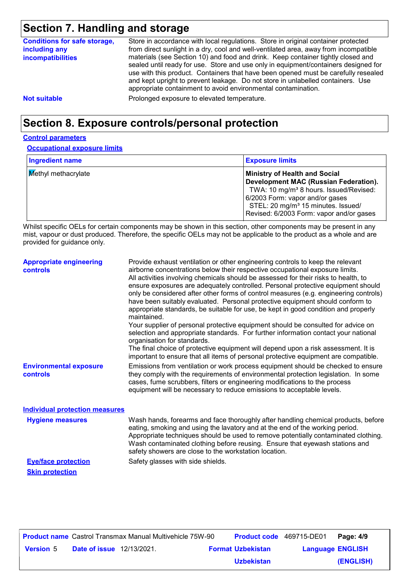# **Section 7. Handling and storage**

| <b>Conditions for safe storage,</b><br>including any<br>incompatibilities | Store in accordance with local regulations. Store in original container protected<br>from direct sunlight in a dry, cool and well-ventilated area, away from incompatible<br>materials (see Section 10) and food and drink. Keep container tightly closed and<br>sealed until ready for use. Store and use only in equipment/containers designed for<br>use with this product. Containers that have been opened must be carefully resealed<br>and kept upright to prevent leakage. Do not store in unlabelled containers. Use<br>appropriate containment to avoid environmental contamination. |
|---------------------------------------------------------------------------|------------------------------------------------------------------------------------------------------------------------------------------------------------------------------------------------------------------------------------------------------------------------------------------------------------------------------------------------------------------------------------------------------------------------------------------------------------------------------------------------------------------------------------------------------------------------------------------------|
| <b>Not suitable</b>                                                       | Prolonged exposure to elevated temperature.                                                                                                                                                                                                                                                                                                                                                                                                                                                                                                                                                    |

# **Section 8. Exposure controls/personal protection**

### **Control parameters**

**Occupational exposure limits**

| <b>Ingredient name</b>     | <b>Exposure limits</b>                                                                                                                                                                                                                                               |
|----------------------------|----------------------------------------------------------------------------------------------------------------------------------------------------------------------------------------------------------------------------------------------------------------------|
| <b>Methyl methacrylate</b> | <b>Ministry of Health and Social</b><br>Development MAC (Russian Federation).<br>TWA: 10 mg/m <sup>3</sup> 8 hours. Issued/Revised:<br>6/2003 Form: vapor and/or gases<br>STEL: 20 mg/m <sup>3</sup> 15 minutes. Issued/<br>Revised: 6/2003 Form: vapor and/or gases |

Whilst specific OELs for certain components may be shown in this section, other components may be present in any mist, vapour or dust produced. Therefore, the specific OELs may not be applicable to the product as a whole and are provided for guidance only.

| <b>Appropriate engineering</b><br><b>controls</b> | Provide exhaust ventilation or other engineering controls to keep the relevant<br>airborne concentrations below their respective occupational exposure limits.<br>All activities involving chemicals should be assessed for their risks to health, to<br>ensure exposures are adequately controlled. Personal protective equipment should<br>only be considered after other forms of control measures (e.g. engineering controls)<br>have been suitably evaluated. Personal protective equipment should conform to<br>appropriate standards, be suitable for use, be kept in good condition and properly<br>maintained.<br>Your supplier of personal protective equipment should be consulted for advice on<br>selection and appropriate standards. For further information contact your national<br>organisation for standards.<br>The final choice of protective equipment will depend upon a risk assessment. It is<br>important to ensure that all items of personal protective equipment are compatible. |
|---------------------------------------------------|---------------------------------------------------------------------------------------------------------------------------------------------------------------------------------------------------------------------------------------------------------------------------------------------------------------------------------------------------------------------------------------------------------------------------------------------------------------------------------------------------------------------------------------------------------------------------------------------------------------------------------------------------------------------------------------------------------------------------------------------------------------------------------------------------------------------------------------------------------------------------------------------------------------------------------------------------------------------------------------------------------------|
| <b>Environmental exposure</b><br>controls         | Emissions from ventilation or work process equipment should be checked to ensure<br>they comply with the requirements of environmental protection legislation. In some<br>cases, fume scrubbers, filters or engineering modifications to the process<br>equipment will be necessary to reduce emissions to acceptable levels.                                                                                                                                                                                                                                                                                                                                                                                                                                                                                                                                                                                                                                                                                 |
| <b>Individual protection measures</b>             |                                                                                                                                                                                                                                                                                                                                                                                                                                                                                                                                                                                                                                                                                                                                                                                                                                                                                                                                                                                                               |
| <b>Hygiene measures</b>                           | Wash hands, forearms and face thoroughly after handling chemical products, before<br>eating, smoking and using the lavatory and at the end of the working period.<br>Appropriate techniques should be used to remove potentially contaminated clothing.<br>Wash contaminated clothing before reusing. Ensure that eyewash stations and<br>safety showers are close to the workstation location.                                                                                                                                                                                                                                                                                                                                                                                                                                                                                                                                                                                                               |
| <b>Eye/face protection</b>                        | Safety glasses with side shields.                                                                                                                                                                                                                                                                                                                                                                                                                                                                                                                                                                                                                                                                                                                                                                                                                                                                                                                                                                             |

**Skin protection**

**Date of issue** 12/13/2021. **Version** 5 **Format Uzbekistan Language Product name** Castrol Transmax Manual Multivehicle 75W-90 **Product code** 469715-DE01 **Page: 4/9** | **Language ENGLISH (ENGLISH)** Product code 469715-DE01 Page: 4/9 **Uzbekistan**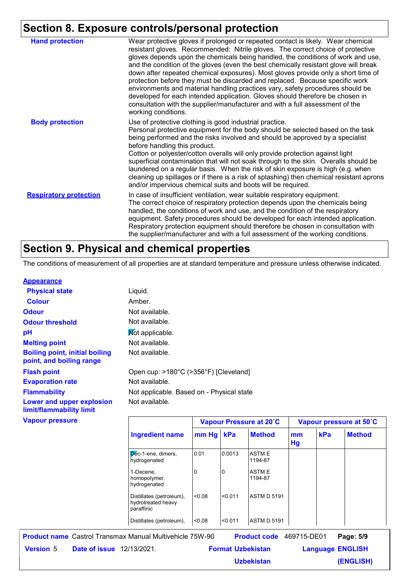# **Section 8. Exposure controls/personal protection**

|                               | -------- <u>--------</u>                                                                                                                                                                                                                                                                                                                                                                                                                                                                                                                                                                                                                                                                                                                                                                        |
|-------------------------------|-------------------------------------------------------------------------------------------------------------------------------------------------------------------------------------------------------------------------------------------------------------------------------------------------------------------------------------------------------------------------------------------------------------------------------------------------------------------------------------------------------------------------------------------------------------------------------------------------------------------------------------------------------------------------------------------------------------------------------------------------------------------------------------------------|
| <b>Hand protection</b>        | Wear protective gloves if prolonged or repeated contact is likely. Wear chemical<br>resistant gloves. Recommended: Nitrile gloves. The correct choice of protective<br>gloves depends upon the chemicals being handled, the conditions of work and use,<br>and the condition of the gloves (even the best chemically resistant glove will break<br>down after repeated chemical exposures). Most gloves provide only a short time of<br>protection before they must be discarded and replaced. Because specific work<br>environments and material handling practices vary, safety procedures should be<br>developed for each intended application. Gloves should therefore be chosen in<br>consultation with the supplier/manufacturer and with a full assessment of the<br>working conditions. |
| <b>Body protection</b>        | Use of protective clothing is good industrial practice.<br>Personal protective equipment for the body should be selected based on the task<br>being performed and the risks involved and should be approved by a specialist<br>before handling this product.<br>Cotton or polyester/cotton overalls will only provide protection against light<br>superficial contamination that will not soak through to the skin. Overalls should be<br>laundered on a regular basis. When the risk of skin exposure is high (e.g. when<br>cleaning up spillages or if there is a risk of splashing) then chemical resistant aprons<br>and/or impervious chemical suits and boots will be required.                                                                                                           |
| <b>Respiratory protection</b> | In case of insufficient ventilation, wear suitable respiratory equipment.<br>The correct choice of respiratory protection depends upon the chemicals being<br>handled, the conditions of work and use, and the condition of the respiratory<br>equipment. Safety procedures should be developed for each intended application.<br>Respiratory protection equipment should therefore be chosen in consultation with<br>the supplier/manufacturer and with a full assessment of the working conditions.                                                                                                                                                                                                                                                                                           |

# **Section 9. Physical and chemical properties**

The conditions of measurement of all properties are at standard temperature and pressure unless otherwise indicated.

### **Appearance**

| <b>Physical state</b>                                             | Liquid.                                   |       |        |                         |              |  |
|-------------------------------------------------------------------|-------------------------------------------|-------|--------|-------------------------|--------------|--|
| <b>Colour</b>                                                     | Amber.                                    |       |        |                         |              |  |
| <b>Odour</b>                                                      | Not available.                            |       |        |                         |              |  |
| <b>Odour threshold</b>                                            | Not available.                            |       |        |                         |              |  |
| рH                                                                | Not applicable.                           |       |        |                         |              |  |
| <b>Melting point</b>                                              | Not available.                            |       |        |                         |              |  |
| <b>Boiling point, initial boiling</b><br>point, and boiling range | Not available.                            |       |        |                         |              |  |
| <b>Flash point</b>                                                | Open cup: >180°C (>356°F) [Cleveland]     |       |        |                         |              |  |
| <b>Evaporation rate</b>                                           | Not available.                            |       |        |                         |              |  |
| <b>Flammability</b>                                               | Not applicable. Based on - Physical state |       |        |                         |              |  |
| Lower and upper explosion<br>limit/flammability limit             | Not available.                            |       |        |                         |              |  |
| <b>Vapour pressure</b>                                            |                                           |       |        | Vapour Pressure at 20°C | <b>Vapou</b> |  |
|                                                                   | <b>Ingredient name</b>                    | mm Hg | kPa    | <b>Method</b>           | mm<br>Hg     |  |
|                                                                   | Dec-1-ene, dimers,<br>hydrogenated        | 0.01  | 0.0013 | <b>ASTME</b><br>1194-87 |              |  |
|                                                                   | 1-Decene,                                 | 0     | 0      | <b>ASTM E</b>           |              |  |

homopolymer, hydrogenated

hydrotreated heavy

Distillates (petroleum), <0.08

paraffinic Distillates (petroleum),  $\vert$ <0.08  $\vert$ <0.011  $\vert$ ASTM D 5191 **Date of issue** 12/13/2021. **Version** 5 **Format Uzbekistan Language Product name** Castrol Transmax Manual Multivehicle 75W-90 **Product code** 469715-DE01 **Page: 5/9** | **Language ENGLISH** Product code 469715-DE01 Page: 5/9

**Vapour Pressure at 20˚C Vapour pressure at 50˚C**

**kPa Method**

**(ENGLISH)**

1194-87

<0.08 <0.011 ASTM D 5191

**Uzbekistan**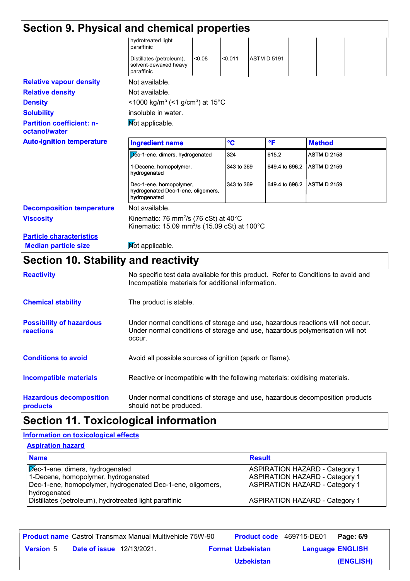| Section 9. Physical and chemical properties       |                                                                                                                                     |        |              |                    |                |                            |  |
|---------------------------------------------------|-------------------------------------------------------------------------------------------------------------------------------------|--------|--------------|--------------------|----------------|----------------------------|--|
|                                                   | hydrotreated light<br>paraffinic                                                                                                    |        |              |                    |                |                            |  |
|                                                   | Distillates (petroleum),<br>solvent-dewaxed heavy<br>paraffinic                                                                     | < 0.08 | < 0.011      | <b>ASTM D 5191</b> |                |                            |  |
| <b>Relative vapour density</b>                    | Not available.                                                                                                                      |        |              |                    |                |                            |  |
| <b>Relative density</b>                           | Not available.                                                                                                                      |        |              |                    |                |                            |  |
| <b>Density</b>                                    | $<$ 1000 kg/m <sup>3</sup> (<1 g/cm <sup>3</sup> ) at 15 <sup>°</sup> C                                                             |        |              |                    |                |                            |  |
| <b>Solubility</b>                                 | insoluble in water.                                                                                                                 |        |              |                    |                |                            |  |
| <b>Partition coefficient: n-</b><br>octanol/water | Not applicable.                                                                                                                     |        |              |                    |                |                            |  |
| <b>Auto-ignition temperature</b>                  | <b>Ingredient name</b>                                                                                                              |        | $\mathbf{C}$ |                    | °F             | <b>Method</b>              |  |
|                                                   | Dec-1-ene, dimers, hydrogenated                                                                                                     |        | 324          |                    | 615.2          | <b>ASTM D 2158</b>         |  |
|                                                   | 1-Decene, homopolymer,<br>hydrogenated                                                                                              |        | 343 to 369   |                    | 649.4 to 696.2 | <b>ASTM D 2159</b>         |  |
|                                                   | Dec-1-ene, homopolymer,<br>hydrogenated Dec-1-ene, oligomers,<br>hydrogenated                                                       |        | 343 to 369   |                    |                | 649.4 to 696.2 ASTM D 2159 |  |
| <b>Decomposition temperature</b>                  | Not available.                                                                                                                      |        |              |                    |                |                            |  |
| <b>Viscosity</b>                                  | Kinematic: 76 mm <sup>2</sup> /s (76 cSt) at 40 $^{\circ}$ C<br>Kinematic: 15.09 mm <sup>2</sup> /s (15.09 cSt) at 100 $^{\circ}$ C |        |              |                    |                |                            |  |
| <b>Particle characteristics</b>                   |                                                                                                                                     |        |              |                    |                |                            |  |
| <b>Median particle size</b>                       | Mot applicable.                                                                                                                     |        |              |                    |                |                            |  |

# **Section 10. Stability and reactivity**

| <b>Reactivity</b>                            | No specific test data available for this product. Refer to Conditions to avoid and<br>Incompatible materials for additional information.                                   |
|----------------------------------------------|----------------------------------------------------------------------------------------------------------------------------------------------------------------------------|
| <b>Chemical stability</b>                    | The product is stable.                                                                                                                                                     |
| <b>Possibility of hazardous</b><br>reactions | Under normal conditions of storage and use, hazardous reactions will not occur.<br>Under normal conditions of storage and use, hazardous polymerisation will not<br>occur. |
| <b>Conditions to avoid</b>                   | Avoid all possible sources of ignition (spark or flame).                                                                                                                   |
| <b>Incompatible materials</b>                | Reactive or incompatible with the following materials: oxidising materials.                                                                                                |
| <b>Hazardous decomposition</b><br>products   | Under normal conditions of storage and use, hazardous decomposition products<br>should not be produced.                                                                    |

# **Section 11. Toxicological information**

### **Aspiration hazard Information on toxicological effects**

| <b>ASPITATIVIT HAZATU</b>                                                                                                            |                                                                                                                         |
|--------------------------------------------------------------------------------------------------------------------------------------|-------------------------------------------------------------------------------------------------------------------------|
| <b>Name</b>                                                                                                                          | <b>Result</b>                                                                                                           |
| Dec-1-ene, dimers, hydrogenated<br>1-Decene, homopolymer, hydrogenated<br>Dec-1-ene, homopolymer, hydrogenated Dec-1-ene, oligomers, | <b>ASPIRATION HAZARD - Category 1</b><br><b>ASPIRATION HAZARD - Category 1</b><br><b>ASPIRATION HAZARD - Category 1</b> |
| hydrogenated<br>Distillates (petroleum), hydrotreated light paraffinic                                                               | <b>ASPIRATION HAZARD - Category 1</b>                                                                                   |

|                  |                                  | <b>Product name</b> Castrol Transmax Manual Multivehicle 75W-90 | <b>Product code</b> 469715-DE01 |                         | Page: 6/9 |
|------------------|----------------------------------|-----------------------------------------------------------------|---------------------------------|-------------------------|-----------|
| <b>Version 5</b> | <b>Date of issue</b> 12/13/2021. |                                                                 | <b>Format Uzbekistan</b>        | <b>Language ENGLISH</b> |           |
|                  |                                  |                                                                 | <b>Uzbekistan</b>               |                         | (ENGLISH) |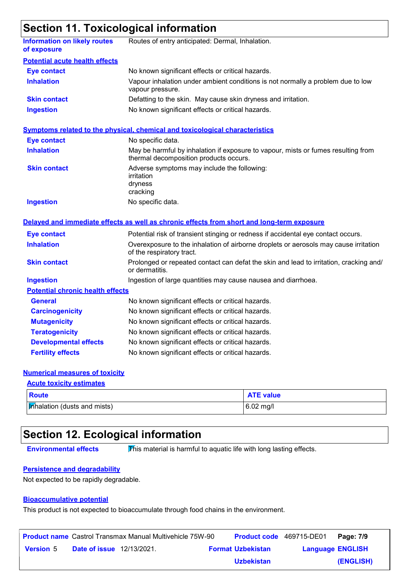# **Section 11. Toxicological information**

| <b>Information on likely routes</b><br>of exposure | Routes of entry anticipated: Dermal, Inhalation.                                                                            |  |  |  |  |
|----------------------------------------------------|-----------------------------------------------------------------------------------------------------------------------------|--|--|--|--|
| <b>Potential acute health effects</b>              |                                                                                                                             |  |  |  |  |
| <b>Eye contact</b>                                 | No known significant effects or critical hazards.                                                                           |  |  |  |  |
| <b>Inhalation</b>                                  | Vapour inhalation under ambient conditions is not normally a problem due to low<br>vapour pressure.                         |  |  |  |  |
| <b>Skin contact</b>                                | Defatting to the skin. May cause skin dryness and irritation.                                                               |  |  |  |  |
| <b>Ingestion</b>                                   | No known significant effects or critical hazards.                                                                           |  |  |  |  |
|                                                    | <b>Symptoms related to the physical, chemical and toxicological characteristics</b>                                         |  |  |  |  |
| <b>Eye contact</b>                                 | No specific data.                                                                                                           |  |  |  |  |
| <b>Inhalation</b>                                  | May be harmful by inhalation if exposure to vapour, mists or fumes resulting from<br>thermal decomposition products occurs. |  |  |  |  |
| <b>Skin contact</b>                                | Adverse symptoms may include the following:<br>irritation<br>dryness<br>cracking                                            |  |  |  |  |
| <b>Ingestion</b>                                   | No specific data.                                                                                                           |  |  |  |  |
|                                                    | Delayed and immediate effects as well as chronic effects from short and long-term exposure                                  |  |  |  |  |
| <b>Eye contact</b>                                 | Potential risk of transient stinging or redness if accidental eye contact occurs.                                           |  |  |  |  |
| <b>Inhalation</b>                                  | Overexposure to the inhalation of airborne droplets or aerosols may cause irritation<br>of the respiratory tract.           |  |  |  |  |
| <b>Skin contact</b>                                | Prolonged or repeated contact can defat the skin and lead to irritation, cracking and/<br>or dermatitis.                    |  |  |  |  |
| <b>Ingestion</b>                                   | Ingestion of large quantities may cause nausea and diarrhoea.                                                               |  |  |  |  |
| <b>Potential chronic health effects</b>            |                                                                                                                             |  |  |  |  |
| <b>General</b>                                     | No known significant effects or critical hazards.                                                                           |  |  |  |  |
| <b>Carcinogenicity</b>                             | No known significant effects or critical hazards.                                                                           |  |  |  |  |
| <b>Mutagenicity</b>                                | No known significant effects or critical hazards.                                                                           |  |  |  |  |
| <b>Teratogenicity</b>                              | No known significant effects or critical hazards.                                                                           |  |  |  |  |
| <b>Developmental effects</b>                       | No known significant effects or critical hazards.                                                                           |  |  |  |  |
| <b>Fertility effects</b>                           | No known significant effects or critical hazards.                                                                           |  |  |  |  |

### **Numerical measures of toxicity**

| <b>Acute toxicity estimates</b>            |                  |  |  |  |  |
|--------------------------------------------|------------------|--|--|--|--|
| Route                                      | <b>ATE value</b> |  |  |  |  |
| $\mathsf{In}$ infinition (dusts and mists) | $6.02$ mg/l      |  |  |  |  |

# **Section 12. Ecological information**

**Environmental effects** This material is harmful to aquatic life with long lasting effects.

### **Persistence and degradability**

Not expected to be rapidly degradable.

### **Bioaccumulative potential**

This product is not expected to bioaccumulate through food chains in the environment.

|                  |                                  | <b>Product name</b> Castrol Transmax Manual Multivehicle 75W-90 | <b>Product code</b> 469715-DE01 |                         | Page: 7/9 |
|------------------|----------------------------------|-----------------------------------------------------------------|---------------------------------|-------------------------|-----------|
| <b>Version 5</b> | <b>Date of issue</b> 12/13/2021. |                                                                 | <b>Format Uzbekistan</b>        | <b>Language ENGLISH</b> |           |
|                  |                                  |                                                                 | <b>Uzbekistan</b>               |                         | (ENGLISH) |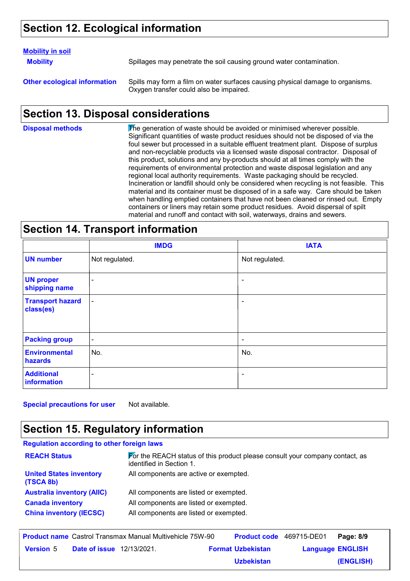# **Section 12. Ecological information**

### **Mobility in soil**

**Mobility** Spillages may penetrate the soil causing ground water contamination.

**Other ecological information** Spills may form a film on water surfaces causing physical damage to organisms. Oxygen transfer could also be impaired.

# **Section 13. Disposal considerations**

The generation of waste should be avoided or minimised wherever possible. Significant quantities of waste product residues should not be disposed of via the foul sewer but processed in a suitable effluent treatment plant. Dispose of surplus and non-recyclable products via a licensed waste disposal contractor. Disposal of this product, solutions and any by-products should at all times comply with the requirements of environmental protection and waste disposal legislation and any regional local authority requirements. Waste packaging should be recycled. Incineration or landfill should only be considered when recycling is not feasible. This material and its container must be disposed of in a safe way. Care should be taken when handling emptied containers that have not been cleaned or rinsed out. Empty containers or liners may retain some product residues. Avoid dispersal of spilt material and runoff and contact with soil, waterways, drains and sewers. **Disposal methods**

# **Section 14. Transport information**

|                                      | <b>IMDG</b>              | <b>IATA</b>    |
|--------------------------------------|--------------------------|----------------|
| <b>UN number</b>                     | Not regulated.           | Not regulated. |
| <b>UN proper</b><br>shipping name    | ۰                        | $\blacksquare$ |
| <b>Transport hazard</b><br>class(es) | $\overline{\phantom{a}}$ | ۰              |
| <b>Packing group</b>                 | $\blacksquare$           | $\blacksquare$ |
| <b>Environmental</b><br>hazards      | No.                      | No.            |
| <b>Additional</b><br>information     | ۰                        | $\blacksquare$ |

**Special precautions for user** Not available.

# **Section 15. Regulatory information**

| <b>Regulation according to other foreign laws</b> |                                                                                                                               |
|---------------------------------------------------|-------------------------------------------------------------------------------------------------------------------------------|
| <b>REACH Status</b>                               | $\blacktriangleright$ or the REACH status of this product please consult your company contact, as<br>identified in Section 1. |
| <b>United States inventory</b><br>(TSCA 8b)       | All components are active or exempted.                                                                                        |
| <b>Australia inventory (AIIC)</b>                 | All components are listed or exempted.                                                                                        |
| <b>Canada inventory</b>                           | All components are listed or exempted.                                                                                        |
| <b>China inventory (IECSC)</b>                    | All components are listed or exempted.                                                                                        |

|                  |                                  | <b>Product name</b> Castrol Transmax Manual Multivehicle 75W-90 | <b>Product code</b> 469715-DE01 |                         | Page: 8/9 |
|------------------|----------------------------------|-----------------------------------------------------------------|---------------------------------|-------------------------|-----------|
| <b>Version 5</b> | <b>Date of issue</b> 12/13/2021. |                                                                 | <b>Format Uzbekistan</b>        | <b>Language ENGLISH</b> |           |
|                  |                                  |                                                                 | <b>Uzbekistan</b>               |                         | (ENGLISH) |